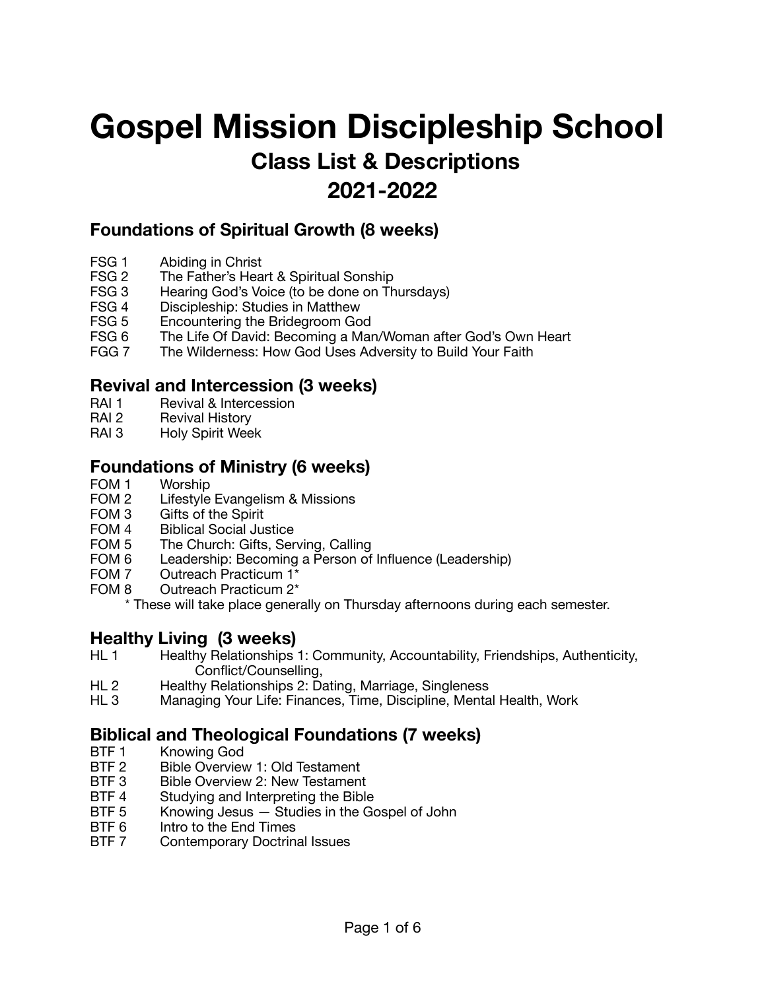# **Gospel Mission Discipleship School Class List & Descriptions**

## **2021-2022**

### **Foundations of Spiritual Growth (8 weeks)**

- FSG 1 Abiding in Christ<br>FSG 2 The Father's Hea
- FSG 2 The Father's Heart & Spiritual Sonship<br>FSG 3 Hearing God's Voice (to be done on Th
- FSG 3 Hearing God's Voice (to be done on Thursdays)<br>FSG 4 Discipleship: Studies in Matthew
- Discipleship: Studies in Matthew
- FSG 5 Encountering the Bridegroom God<br>FSG 6 The Life Of David: Becoming a Mar
- FSG 6 The Life Of David: Becoming a Man/Woman after God's Own Heart<br>FGG 7 The Wilderness: How God Uses Adversity to Build Your Faith
- The Wilderness: How God Uses Adversity to Build Your Faith

### **Revival and Intercession (3 weeks)**

- RAI 1 Revival & Intercession
- RAI 2 Revival History
- RAI 3 Holy Spirit Week

### **Foundations of Ministry (6 weeks)**

- FOM 1 Worship
- FOM 2 Lifestyle Evangelism & Missions
- FOM 3 Gifts of the Spirit
- FOM 4 Biblical Social Justice
- FOM 5 The Church: Gifts, Serving, Calling
- FOM 6 Leadership: Becoming a Person of Influence (Leadership)
- FOM 7 Outreach Practicum 1\*
- FOM 8 Outreach Practicum 2\*

\* These will take place generally on Thursday afternoons during each semester.

### **Healthy Living (3 weeks)**

- HL 1 Healthy Relationships 1: Community, Accountability, Friendships, Authenticity, Conflict/Counselling,
- HL 2 Healthy Relationships 2: Dating, Marriage, Singleness<br>
HL 3 Managing Your Life: Finances, Time, Discipline, Menta
- Managing Your Life: Finances, Time, Discipline, Mental Health, Work

# **Biblical and Theological Foundations (7 weeks)**<br>BTF 1 Knowing God

- Knowing God
- BTF 2 Bible Overview 1: Old Testament
- BTF 3 Bible Overview 2: New Testament
- BTF 4 Studying and Interpreting the Bible
- BTF 5 Knowing Jesus Studies in the Gospel of John
- BTF 6 Intro to the End Times
- BTF 7 Contemporary Doctrinal Issues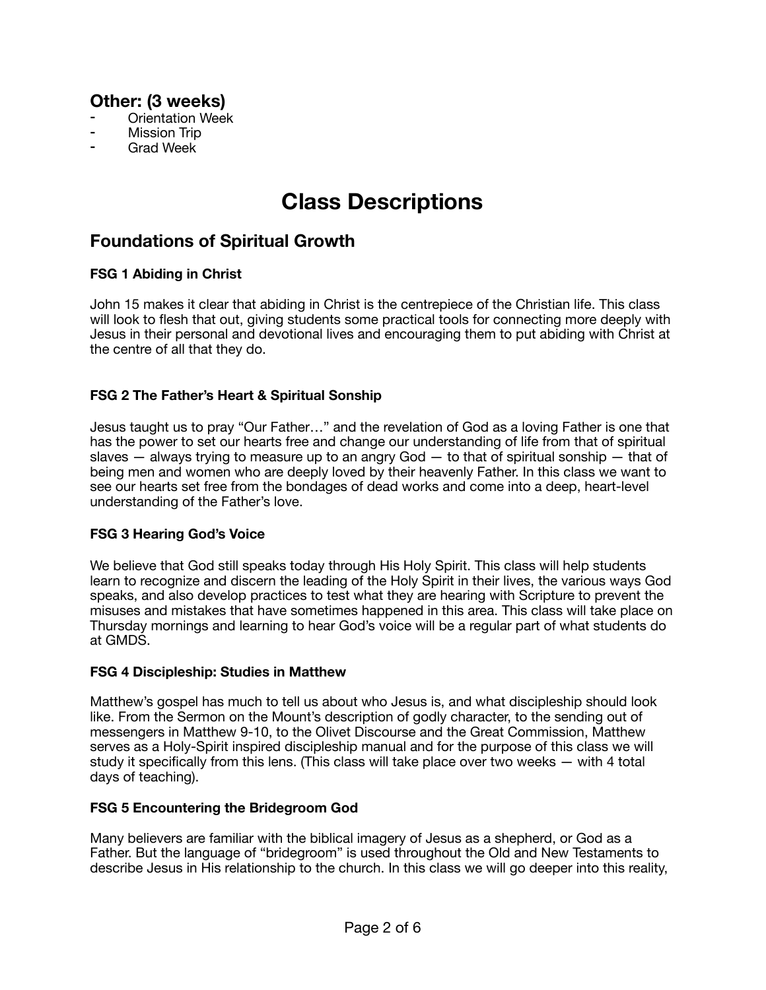### **Other: (3 weeks)**

- **Orientation Week**
- **Mission Trip**
- **Grad Week**

## **Class Descriptions**

### **Foundations of Spiritual Growth**

### **FSG 1 Abiding in Christ**

John 15 makes it clear that abiding in Christ is the centrepiece of the Christian life. This class will look to flesh that out, giving students some practical tools for connecting more deeply with Jesus in their personal and devotional lives and encouraging them to put abiding with Christ at the centre of all that they do.

### **FSG 2 The Father's Heart & Spiritual Sonship**

Jesus taught us to pray "Our Father…" and the revelation of God as a loving Father is one that has the power to set our hearts free and change our understanding of life from that of spiritual slaves  $-$  always trying to measure up to an angry God  $-$  to that of spiritual sonship  $-$  that of being men and women who are deeply loved by their heavenly Father. In this class we want to see our hearts set free from the bondages of dead works and come into a deep, heart-level understanding of the Father's love.

### **FSG 3 Hearing God's Voice**

We believe that God still speaks today through His Holy Spirit. This class will help students learn to recognize and discern the leading of the Holy Spirit in their lives, the various ways God speaks, and also develop practices to test what they are hearing with Scripture to prevent the misuses and mistakes that have sometimes happened in this area. This class will take place on Thursday mornings and learning to hear God's voice will be a regular part of what students do at GMDS.

### **FSG 4 Discipleship: Studies in Matthew**

Matthew's gospel has much to tell us about who Jesus is, and what discipleship should look like. From the Sermon on the Mount's description of godly character, to the sending out of messengers in Matthew 9-10, to the Olivet Discourse and the Great Commission, Matthew serves as a Holy-Spirit inspired discipleship manual and for the purpose of this class we will study it specifically from this lens. (This class will take place over two weeks — with 4 total days of teaching).

### **FSG 5 Encountering the Bridegroom God**

Many believers are familiar with the biblical imagery of Jesus as a shepherd, or God as a Father. But the language of "bridegroom" is used throughout the Old and New Testaments to describe Jesus in His relationship to the church. In this class we will go deeper into this reality,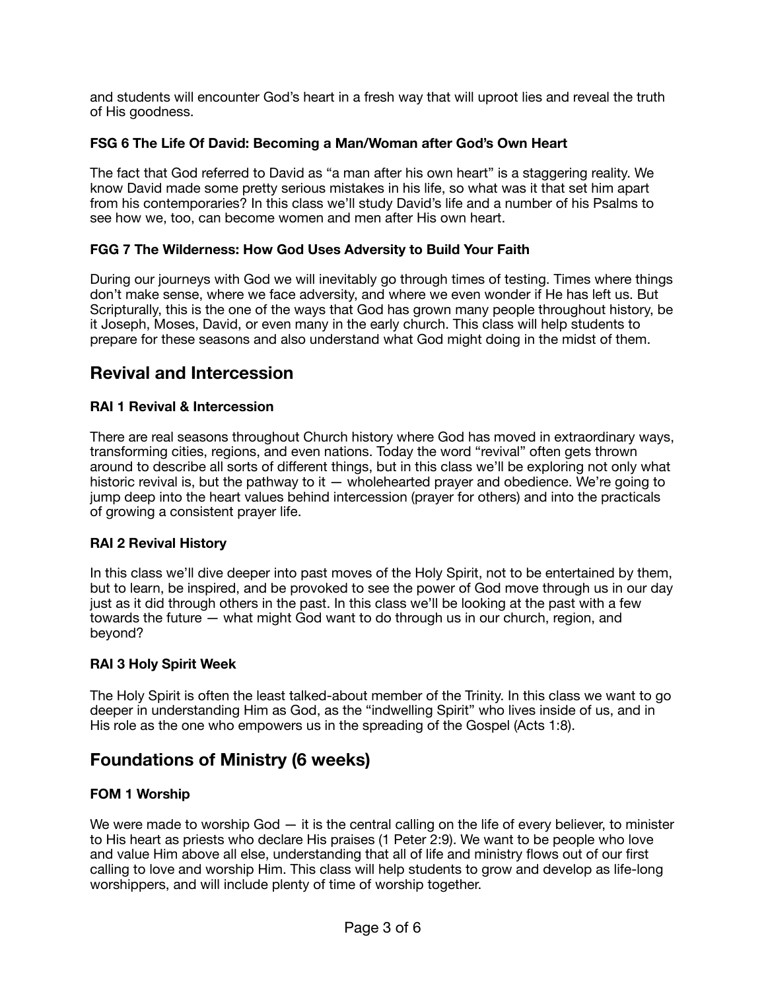and students will encounter God's heart in a fresh way that will uproot lies and reveal the truth of His goodness.

### **FSG 6 The Life Of David: Becoming a Man/Woman after God's Own Heart**

The fact that God referred to David as "a man after his own heart" is a staggering reality. We know David made some pretty serious mistakes in his life, so what was it that set him apart from his contemporaries? In this class we'll study David's life and a number of his Psalms to see how we, too, can become women and men after His own heart.

### **FGG 7 The Wilderness: How God Uses Adversity to Build Your Faith**

During our journeys with God we will inevitably go through times of testing. Times where things don't make sense, where we face adversity, and where we even wonder if He has left us. But Scripturally, this is the one of the ways that God has grown many people throughout history, be it Joseph, Moses, David, or even many in the early church. This class will help students to prepare for these seasons and also understand what God might doing in the midst of them.

### **Revival and Intercession**

### **RAI 1 Revival & Intercession**

There are real seasons throughout Church history where God has moved in extraordinary ways, transforming cities, regions, and even nations. Today the word "revival" often gets thrown around to describe all sorts of different things, but in this class we'll be exploring not only what historic revival is, but the pathway to it — wholehearted prayer and obedience. We're going to jump deep into the heart values behind intercession (prayer for others) and into the practicals of growing a consistent prayer life.

### **RAI 2 Revival History**

In this class we'll dive deeper into past moves of the Holy Spirit, not to be entertained by them, but to learn, be inspired, and be provoked to see the power of God move through us in our day just as it did through others in the past. In this class we'll be looking at the past with a few towards the future — what might God want to do through us in our church, region, and beyond?

### **RAI 3 Holy Spirit Week**

The Holy Spirit is often the least talked-about member of the Trinity. In this class we want to go deeper in understanding Him as God, as the "indwelling Spirit" who lives inside of us, and in His role as the one who empowers us in the spreading of the Gospel (Acts 1:8).

### **Foundations of Ministry (6 weeks)**

### **FOM 1 Worship**

We were made to worship God  $-$  it is the central calling on the life of every believer, to minister to His heart as priests who declare His praises (1 Peter 2:9). We want to be people who love and value Him above all else, understanding that all of life and ministry flows out of our first calling to love and worship Him. This class will help students to grow and develop as life-long worshippers, and will include plenty of time of worship together.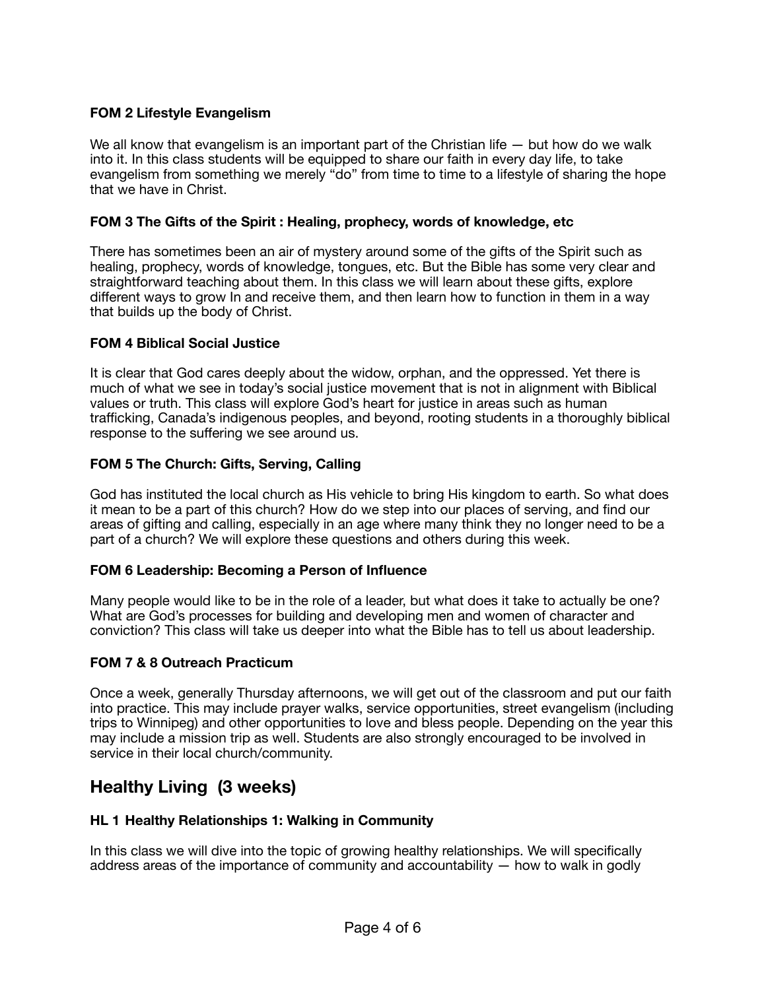### **FOM 2 Lifestyle Evangelism**

We all know that evangelism is an important part of the Christian life — but how do we walk into it. In this class students will be equipped to share our faith in every day life, to take evangelism from something we merely "do" from time to time to a lifestyle of sharing the hope that we have in Christ.

#### **FOM 3 The Gifts of the Spirit : Healing, prophecy, words of knowledge, etc**

There has sometimes been an air of mystery around some of the gifts of the Spirit such as healing, prophecy, words of knowledge, tongues, etc. But the Bible has some very clear and straightforward teaching about them. In this class we will learn about these gifts, explore different ways to grow In and receive them, and then learn how to function in them in a way that builds up the body of Christ.

#### **FOM 4 Biblical Social Justice**

It is clear that God cares deeply about the widow, orphan, and the oppressed. Yet there is much of what we see in today's social justice movement that is not in alignment with Biblical values or truth. This class will explore God's heart for justice in areas such as human trafficking, Canada's indigenous peoples, and beyond, rooting students in a thoroughly biblical response to the suffering we see around us.

#### **FOM 5 The Church: Gifts, Serving, Calling**

God has instituted the local church as His vehicle to bring His kingdom to earth. So what does it mean to be a part of this church? How do we step into our places of serving, and find our areas of gifting and calling, especially in an age where many think they no longer need to be a part of a church? We will explore these questions and others during this week.

#### **FOM 6 Leadership: Becoming a Person of Influence**

Many people would like to be in the role of a leader, but what does it take to actually be one? What are God's processes for building and developing men and women of character and conviction? This class will take us deeper into what the Bible has to tell us about leadership.

#### **FOM 7 & 8 Outreach Practicum**

Once a week, generally Thursday afternoons, we will get out of the classroom and put our faith into practice. This may include prayer walks, service opportunities, street evangelism (including trips to Winnipeg) and other opportunities to love and bless people. Depending on the year this may include a mission trip as well. Students are also strongly encouraged to be involved in service in their local church/community.

### **Healthy Living (3 weeks)**

### **HL 1 Healthy Relationships 1: Walking in Community**

In this class we will dive into the topic of growing healthy relationships. We will specifically address areas of the importance of community and accountability — how to walk in godly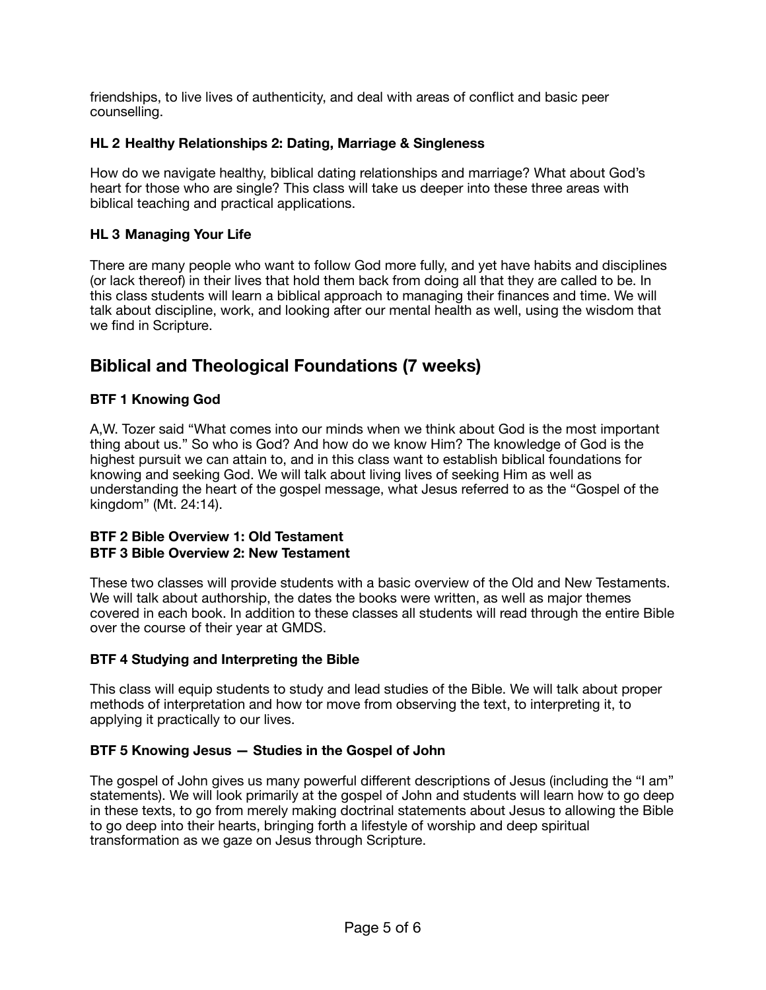friendships, to live lives of authenticity, and deal with areas of conflict and basic peer counselling.

### **HL 2 Healthy Relationships 2: Dating, Marriage & Singleness**

How do we navigate healthy, biblical dating relationships and marriage? What about God's heart for those who are single? This class will take us deeper into these three areas with biblical teaching and practical applications.

### **HL 3 Managing Your Life**

There are many people who want to follow God more fully, and yet have habits and disciplines (or lack thereof) in their lives that hold them back from doing all that they are called to be. In this class students will learn a biblical approach to managing their finances and time. We will talk about discipline, work, and looking after our mental health as well, using the wisdom that we find in Scripture.

### **Biblical and Theological Foundations (7 weeks)**

### **BTF 1 Knowing God**

A,W. Tozer said "What comes into our minds when we think about God is the most important thing about us." So who is God? And how do we know Him? The knowledge of God is the highest pursuit we can attain to, and in this class want to establish biblical foundations for knowing and seeking God. We will talk about living lives of seeking Him as well as understanding the heart of the gospel message, what Jesus referred to as the "Gospel of the kingdom" (Mt. 24:14).

#### **BTF 2 Bible Overview 1: Old Testament BTF 3 Bible Overview 2: New Testament**

These two classes will provide students with a basic overview of the Old and New Testaments. We will talk about authorship, the dates the books were written, as well as major themes covered in each book. In addition to these classes all students will read through the entire Bible over the course of their year at GMDS.

### **BTF 4 Studying and Interpreting the Bible**

This class will equip students to study and lead studies of the Bible. We will talk about proper methods of interpretation and how tor move from observing the text, to interpreting it, to applying it practically to our lives.

### **BTF 5 Knowing Jesus — Studies in the Gospel of John**

The gospel of John gives us many powerful different descriptions of Jesus (including the "I am" statements). We will look primarily at the gospel of John and students will learn how to go deep in these texts, to go from merely making doctrinal statements about Jesus to allowing the Bible to go deep into their hearts, bringing forth a lifestyle of worship and deep spiritual transformation as we gaze on Jesus through Scripture.